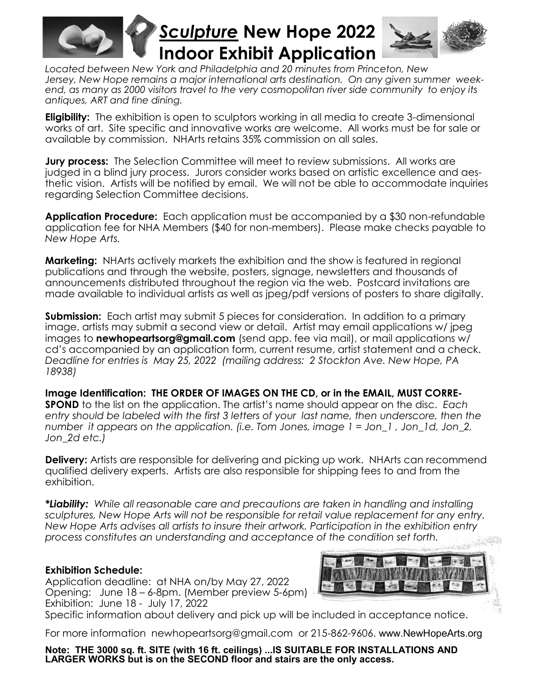

# *Sculpture* **New Hope 2022 Indoor Exhibit Application**



*Located between New York and Philadelphia and 20 minutes from Princeton, New Jersey, New Hope remains a major international arts destination. On any given summer weekend, as many as 2000 visitors travel to the very cosmopolitan river side community to enjoy its antiques, ART and fine dining.*

**Eligibility:** The exhibition is open to sculptors working in all media to create 3-dimensional works of art. Site specific and innovative works are welcome. All works must be for sale or available by commission. NHArts retains 35% commission on all sales.

**Jury process:** The Selection Committee will meet to review submissions. All works are judged in a blind jury process. Jurors consider works based on artistic excellence and aesthetic vision. Artists will be notified by email. We will not be able to accommodate inquiries regarding Selection Committee decisions.

**Application Procedure:** Each application must be accompanied by a \$30 non-refundable application fee for NHA Members (\$40 for non-members). Please make checks payable to *New Hope Arts.*

**Marketing:** NHArts actively markets the exhibition and the show is featured in regional publications and through the website, posters, signage, newsletters and thousands of announcements distributed throughout the region via the web. Postcard invitations are made available to individual artists as well as jpeg/pdf versions of posters to share digitally.

**Submission:** Each artist may submit 5 pieces for consideration. In addition to a primary image, artists may submit a second view or detail. Artist may email applications w/ jpeg images to **newhopeartsorg@gmail.com** (send app. fee via mail), or mail applications w/ cd's accompanied by an application form, current resume, artist statement and a check. *Deadline for entries is May 25, 2022 (mailing address: 2 Stockton Ave. New Hope, PA 18938)*

**Image Identification: THE ORDER OF IMAGES ON THE CD, or in the EMAIL, MUST CORRE-SPOND** to the list on the application. The artist's name should appear on the disc. *Each entry should be labeled with the first 3 letters of your last name, then underscore, then the number it appears on the application. (i.e. Tom Jones, image 1 = Jon\_1 , Jon\_1d, Jon\_2, Jon\_2d etc.)* 

**Delivery:** Artists are responsible for delivering and picking up work. NHArts can recommend qualified delivery experts. Artists are also responsible for shipping fees to and from the exhibition.

*\*Liability: While all reasonable care and precautions are taken in handling and installing sculptures, New Hope Arts will not be responsible for retail value replacement for any entry. New Hope Arts advises all artists to insure their artwork. Participation in the exhibition entry process constitutes an understanding and acceptance of the condition set forth.*

### **Exhibition Schedule:**

Application deadline: at NHA on/by May 27, 2022 Opening: June 18 – 6-8pm. (Member preview 5-6pm) Exhibition: June 18 - July 17, 2022



Specific information about delivery and pick up will be included in acceptance notice.

For more information newhopeartsorg@gmail.com or 215-862-9606. www.NewHopeArts.org

**Note: THE 3000 sq. ft. SITE (with 16 ft. ceilings) ...IS SUITABLE FOR INSTALLATIONS AND LARGER WORKS but is on the SECOND floor and stairs are the only access.**